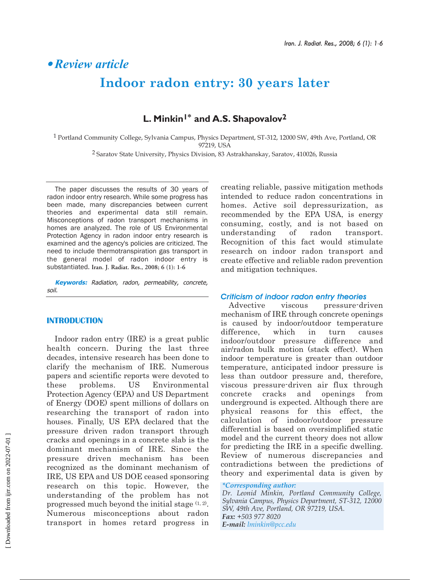# § *Review article* **Indoor radon entry: 30 years later**

# **L. Minkin1\* and A.S. Shapovalov2**

1 Portland Community College, Sylvania Campus, Physics Department, ST-312, 12000 SW, 49th Ave, Portland, OR 97219, USA

2 Saratov State University, Physics Division, 83 Astrakhanskay, Saratov, 410026, Russia

The paper discusses the results of 30 years of radon indoor entry research. While some progress has been made, many discrepancies between current theories and experimental data still remain. Misconceptions of radon transport mechanisms in homes are analyzed. The role of US Environmental Protection Agency in radon indoor entry research is examined and the agency's policies are criticized. The need to include thermotranspiration gas transport in the general model of radon indoor entry is substantiated. **Iran. J. Radiat. Res., 2008; 6 (1): 1-6**

**Keywords:** Radiation, radon, permeability, concrete, soil.

#### **INTRODUCTION**

Indoor radon entry (IRE) is a great public health concern. During the last three decades, intensive research has been done to clarify the mechanism of IRE. Numerous papers and scientific reports were devoted to these problems. US Environmental Protection Agency (EPA) and US Department of Energy (DOE) spent millions of dollars on researching the transport of radon into houses. Finally, US EPA declared that the pressure driven radon transport through cracks and openings in a concrete slab is the dominant mechanism of IRE. Since the pressure driven mechanism has been recognized as the dominant mechanism of IRE, US EPA and US DOE ceased sponsoring research on this topic. However, the understanding of the problem has not progressed much beyond the initial stage  $(1, 2)$ . Numerous misconceptions about radon transport in homes retard progress in creating reliable, passive mitigation methods intended to reduce radon concentrations in homes. Active soil depressurization, as recommended by the EPA USA, is energy consuming, costly, and is not based on understanding of radon transport. Recognition of this fact would stimulate research on indoor radon transport and create effective and reliable radon prevention and mitigation techniques.

## *Criticism of indoor radon entry theories*

Advective viscous pressure-driven mechanism of IRE through concrete openings is caused by indoor/outdoor temperature difference, which in turn causes indoor/outdoor pressure difference and air/radon bulk motion (stack effect). When indoor temperature is greater than outdoor temperature, anticipated indoor pressure is less than outdoor pressure and, therefore, viscous pressure-driven air flux through concrete cracks and openings from underground is expected. Although there are physical reasons for this effect, the calculation of indoor/outdoor pressure differential is based on oversimplified static model and the current theory does not allow for predicting the IRE in a specific dwelling. Review of numerous discrepancies and contradictions between the predictions of theory and experimental data is given by

#### *\*Corresponding author:*

*Dr. Leonid Minkin, Portland Community College, Sylvania Campus, Physics Department, ST-312, 12000 SW, 49th Ave, Portland, OR 97219, USA. Fax: +503 977 8020 E-mail: lminkin@pcc.edu*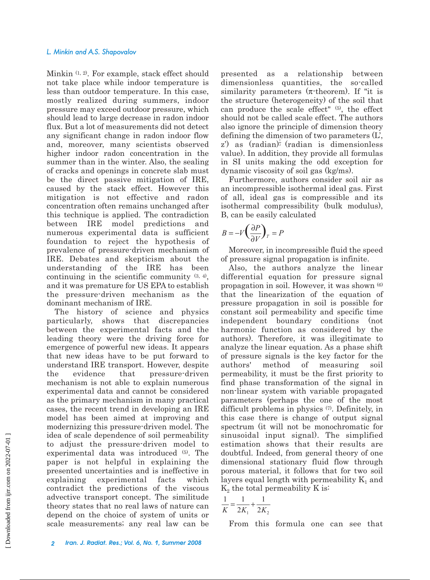Minkin (1, 2). For example, stack effect should not take place while indoor temperature is less than outdoor temperature. In this case, mostly realized during summers, indoor pressure may exceed outdoor pressure, which should lead to large decrease in radon indoor flux. But a lot of measurements did not detect any significant change in radon indoor flow and, moreover, many scientists observed higher indoor radon concentration in the summer than in the winter. Also, the sealing of cracks and openings in concrete slab must be the direct passive mitigation of IRE, caused by the stack effect. However this mitigation is not effective and radon concentration often remains unchanged after this technique is applied. The contradiction between IRE model predictions and numerous experimental data is sufficient foundation to reject the hypothesis of prevalence of pressure-driven mechanism of IRE. Debates and skepticism about the understanding of the IRE has been continuing in the scientific community (3, 4), and it was premature for US EPA to establish the pressure-driven mechanism as the dominant mechanism of IRE.

The history of science and physics particularly, shows that discrepancies between the experimental facts and the leading theory were the driving force for emergence of powerful new ideas. It appears that new ideas have to be put forward to understand IRE transport. However, despite the evidence that pressure-driven mechanism is not able to explain numerous experimental data and cannot be considered as the primary mechanism in many practical cases, the recent trend in developing an IRE model has been aimed at improving and modernizing this pressure-driven model. The idea of scale dependence of soil permeability to adjust the pressure-driven model to experimental data was introduced (5). The paper is not helpful in explaining the presented uncertainties and is ineffective in explaining experimental facts which contradict the predictions of the viscous advective transport concept. The similitude theory states that no real laws of nature can depend on the choice of system of units or scale measurements; any real law can be

presented as a relationship between dimensionless quantities, the so-called similarity parameters  $(\pi$ -theorem). If "it is the structure (heterogeneity) of the soil that can produce the scale effect" (5), the effect should not be called scale effect. The authors also ignore the principle of dimension theory defining the dimension of two parameters (L', z') as  $(\text{radian})^{\frac{1}{2}}$  (radian is dimensionless value). In addition, they provide all formulas in SI units making the odd exception for dynamic viscosity of soil gas (kg/ms).

Furthermore, authors consider soil air as an incompressible isothermal ideal gas. First of all, ideal gas is compressible and its isothermal compressibility (bulk modulus), B, can be easily calculated

$$
B = -V \left(\frac{\partial P}{\partial V}\right)_T = P
$$

Moreover, in incompressible fluid the speed of pressure signal propagation is infinite.

Also, the authors analyze the linear differential equation for pressure signal propagation in soil. However, it was shown (6) that the linearization of the equation of pressure propagation in soil is possible for constant soil permeability and specific time independent boundary conditions (not harmonic function as considered by the authors). Therefore, it was illegitimate to analyze the linear equation. As a phase shift of pressure signals is the key factor for the authors' method of measuring soil permeability, it must be the first priority to find phase transformation of the signal in non-linear system with variable propagated parameters (perhaps the one of the most difficult problems in physics (7). Definitely, in this case there is change of output signal spectrum (it will not be monochromatic for sinusoidal input signal). The simplified estimation shows that their results are doubtful. Indeed, from general theory of one dimensional stationary fluid flow through porous material, it follows that for two soil layers equal length with permeability  $K_1$  and  $K_2$  the total permeability K is:

$$
\frac{1}{K} = \frac{1}{2K_1} + \frac{1}{2K_2}
$$

From this formula one can see that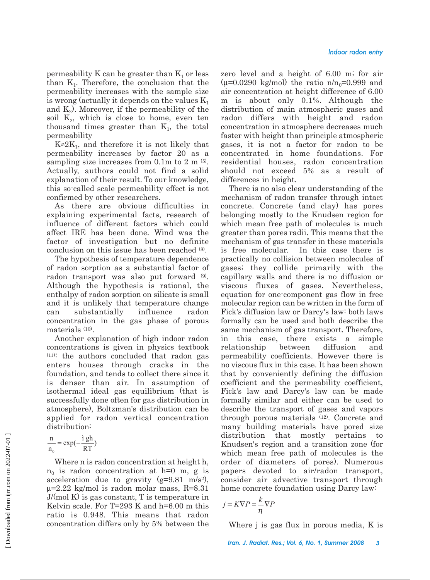permeability K can be greater than  $K_1$  or less than  $K<sub>1</sub>$ . Therefore, the conclusion that the permeability increases with the sample size is wrong (actually it depends on the values  $K_1$ and  $K_2$ ). Moreover, if the permeability of the soil  $K_2$ , which is close to home, even ten thousand times greater than  $K_1$ , the total permeability

 $K \approx 2K_1$ , and therefore it is not likely that permeability increases by factor 20 as a sampling size increases from  $0.1m$  to  $2 m$ <sup> $(5)$ </sup>. Actually, authors could not find a solid explanation of their result. To our knowledge, this so-called scale permeability effect is not confirmed by other researchers.

As there are obvious difficulties in explaining experimental facts, research of influence of different factors which could affect IRE has been done. Wind was the factor of investigation but no definite conclusion on this issue has been reached (8).

The hypothesis of temperature dependence of radon sorption as a substantial factor of radon transport was also put forward (9). Although the hypothesis is rational, the enthalpy of radon sorption on silicate is small and it is unlikely that temperature change can substantially influence radon concentration in the gas phase of porous materials (10).

Another explanation of high indoor radon concentrations is given in physics textbook (11): the authors concluded that radon gas enters houses through cracks in the foundation, and tends to collect there since it is denser than air. In assumption of isothermal ideal gas equilibrium (that is successfully done often for gas distribution in atmosphere), Boltzman's distribution can be applied for radon vertical concentration distribution:

$$
\frac{n}{n_0} = \exp(-\frac{i \, gh}{RT})
$$

Where n is radon concentration at height h,  $n_0$  is radon concentration at h=0 m, g is acceleration due to gravity  $(g=9.81 \text{ m/s}^2)$ ,  $\mu$ =2.22 kg/mol is radon molar mass, R=8.31 J/(mol K) is gas constant, T is temperature in Kelvin scale. For T=293 K and h=6.00 m this ratio is 0.948. This means that radon concentration differs only by 5% between the

zero level and a height of 6.00 m; for air  $(\mu=0.0290 \text{ kg/mol})$  the ratio n/n<sub>0</sub>=0.999 and air concentration at height difference of 6.00 m is about only 0.1%. Although the distribution of main atmospheric gases and radon differs with height and radon concentration in atmosphere decreases much faster with height than principle atmospheric gases, it is not a factor for radon to be concentrated in home foundations. For residential houses, radon concentration should not exceed 5% as a result of differences in height.

There is no also clear understanding of the mechanism of radon transfer through intact concrete. Concrete (and clay) has pores belonging mostly to the Knudsen region for which mean free path of molecules is much greater than pores radii. This means that the mechanism of gas transfer in these materials is free molecular. In this case there is practically no collision between molecules of gases; they collide primarily with the capillary walls and there is no diffusion or viscous fluxes of gases. Nevertheless, equation for one-component gas flow in free molecular region can be written in the form of Fick's diffusion law or Darcy's law: both laws formally can be used and both describe the same mechanism of gas transport. Therefore, in this case, there exists a simple relationship between diffusion and permeability coefficients. However there is no viscous flux in this case. It has been shown that by conveniently defining the diffusion coefficient and the permeability coefficient, Fick's law and Darcy's law can be made formally similar and either can be used to describe the transport of gases and vapors through porous materials (12). Concrete and many building materials have pored size distribution that mostly pertains to Knudsen's region and a transition zone (for which mean free path of molecules is the order of diameters of pores). Numerous papers devoted to air/radon transport, consider air advective transport through home concrete foundation using Darcy law:

$$
j = K \nabla P = \frac{k}{\eta} \nabla P
$$

Where j is gas flux in porous media, K is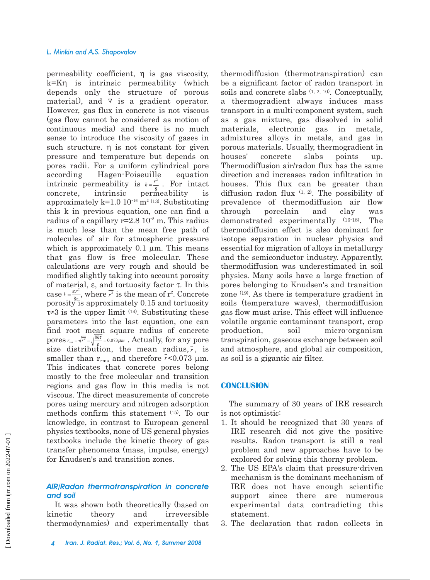#### *L. Minkin and A.S. Shapovalov*

permeability coefficient, η is gas viscosity, k=Kη is intrinsic permeability (which depends only the structure of porous material), and  $\nabla$  is a gradient operator. However, gas flux in concrete is not viscous (gas flow cannot be considered as motion of continuous media) and there is no much sense to introduce the viscosity of gases in such structure.  $\eta$  is not constant for given pressure and temperature but depends on pores radii. For a uniform cylindrical pore according Hagen-Poiseuille equation intrinsic permeability is  $k = \frac{r}{\alpha}$ . For intact concrete, intrinsic permeability is approximately  $k=1.0 \ 10^{-16} \ m^2 (13)$ . Substituting this k in previous equation, one can find a radius of a capillary  $r=2.8 \times 10^{-8}$  m. This radius is much less than the mean free path of molecules of air for atmospheric pressure which is approximately  $0.1 \mu m$ . This means that gas flow is free molecular. These calculations are very rough and should be modified slightly taking into account porosity of material, ε, and tortuosity factor τ. In this case  $k = \frac{\varepsilon r^2}{2\pi r^2}$ , where  $\overline{r^2}$  is the mean of  $r^2$ . Concrete porosity is approximately 0.15 and tortuosity  $\tau \approx 3$  is the upper limit <sup>(14)</sup>. Substituting these parameters into the last equation, one can find root mean square radius of concrete pores  $r_{\text{rms}} = \sqrt{r^2} = \sqrt{\frac{8k\tau}{\varepsilon}} = 0.073 \mu m$ . Actually, for any pore size distribution, the mean radius,  $\bar{r}$ , is smaller than  $r_{\rm rms}$  and therefore  $r<0.073$  µm. This indicates that concrete pores belong mostly to the free molecular and transition regions and gas flow in this media is not viscous. The direct measurements of concrete pores using mercury and nitrogen adsorption methods confirm this statement (15). To our knowledge, in contrast to European general physics textbooks, none of US general physics textbooks include the kinetic theory of gas transfer phenomena (mass, impulse, energy) for Knudsen's and transition zones. 2  $k = \frac{r^2}{8}$  $k = \frac{\varepsilon r^2}{8\tau}$ , where  $\overline{r^2}$ 

# *AIR/Radon thermotranspiration in concrete and soil*

It was shown both theoretically (based on kinetic theory and irreversible thermodynamics) and experimentally that

thermodiffusion (thermotranspiration) can be a significant factor of radon transport in soils and concrete slabs  $(1, 2, 10)$ . Conceptually, a thermogradient always induces mass transport in a multi-component system, such as a gas mixture, gas dissolved in solid materials, electronic gas in metals, admixtures alloys in metals, and gas in porous materials. Usually, thermogradient in houses' concrete slabs points up. Thermodiffusion air/radon flux has the same direction and increases radon infiltration in houses. This flux can be greater than diffusion radon flux (1, 2). The possibility of prevalence of thermodiffusion air flow through porcelain and clay was demonstrated experimentally (16-18). The thermodiffusion effect is also dominant for isotope separation in nuclear physics and essential for migration of alloys in metallurgy and the semiconductor industry. Apparently, thermodiffusion was underestimated in soil physics. Many soils have a large fraction of pores belonging to Knudsen's and transition zone (19). As there is temperature gradient in soils (temperature waves), thermodiffusion gas flow must arise. This effect will influence volatile organic contaminant transport, crop production, soil micro-organism transpiration, gaseous exchange between soil and atmosphere, and global air composition, as soil is a gigantic air filter.

#### **CONCLUSION**

The summary of 30 years of IRE research is not optimistic:

- 1. It should be recognized that 30 years of IRE research did not give the positive results. Radon transport is still a real problem and new approaches have to be explored for solving this thorny problem.
- 2. The US EPA's claim that pressure-driven mechanism is the dominant mechanism of IRE does not have enough scientific support since there are numerous experimental data contradicting this statement.
- 3. The declaration that radon collects in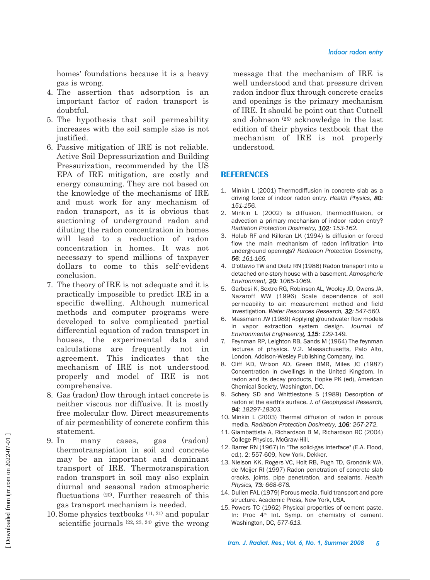homes' foundations because it is a heavy gas is wrong.

- 4. The assertion that adsorption is an important factor of radon transport is doubtful.
- 5. The hypothesis that soil permeability increases with the soil sample size is not justified.
- 6. Passive mitigation of IRE is not reliable. Active Soil Depressurization and Building Pressurization, recommended by the US EPA of IRE mitigation, are costly and energy consuming. They are not based on the knowledge of the mechanisms of IRE and must work for any mechanism of radon transport, as it is obvious that suctioning of underground radon and diluting the radon concentration in homes will lead to a reduction of radon concentration in homes. It was not necessary to spend millions of taxpayer dollars to come to this self-evident conclusion.
- 7. The theory of IRE is not adequate and it is practically impossible to predict IRE in a specific dwelling. Although numerical methods and computer programs were developed to solve complicated partial differential equation of radon transport in houses, the experimental data and calculations are frequently not in agreement. This indicates that the mechanism of IRE is not understood properly and model of IRE is not comprehensive.
- 8. Gas (radon) flow through intact concrete is neither viscous nor diffusive. It is mostly free molecular flow. Direct measurements of air permeability of concrete confirm this statement.
- 9. In many cases, gas (radon) thermotranspiation in soil and concrete may be an important and dominant transport of IRE. Thermotranspiration radon transport in soil may also explain diurnal and seasonal radon atmospheric fluctuations (20). Further research of this gas transport mechanism is needed.
- 10. Some physics textbooks (11, 21) and popular scientific journals (22, 23, 24) give the wrong

message that the mechanism of IRE is well understood and that pressure driven radon indoor flux through concrete cracks and openings is the primary mechanism of IRE. It should be point out that Cutnell and Johnson (25) acknowledge in the last edition of their physics textbook that the mechanism of IRE is not properly understood.

## **REFERENCES**

- 1. Minkin L (2001) Thermodiffusion in concrete slab as a driving force of indoor radon entry. *Health Physics, 80: 151-156.*
- 2. Minkin L (2002) Is diffusion, thermodiffusion, or advection a primary mechanism of indoor radon entry? *Radiation Protection Dosimetry, 102: 153-162.*
- 3. Holub RF and Killoran LK (1994) Is diffusion or forced flow the main mechanism of radon infiltration into underground openings? *Radiation Protection Dosimetry, 56: 161-165.*
- 4. D'ottavio TW and Dietz RN (1986) Radon transport into a detached one-story house with a basement. *Atmospheric Environment, 20: 1065-1069.*
- 5. Garbesi K, Sextro RG, Robinson AL, Wooley JD, Owens JA, Nazaroff WW (1996) Scale dependence of soil permeability to air: measurement method and field investigation. *Water Resources Research, 32: 547-560.*
- 6. Massmann JW (1989) Applying groundwater flow models in vapor extraction system design. *Journal of Environmental Engineering, 115: 129-149.*
- 7. Feynman RP, Leighton RB, Sands M (1964) The feynman lectures of physics. V.2. Massachusetts, Palo Alto, London, Addison-Wesley Publishing Company, Inc.
- 8. Cliff KD, Wrixon AD, Green BMR, Miles JC (1987) Concentration in dwellings in the United Kingdom. In radon and its decay products, Hopke PK (ed), American Chemical Society, Washington, DC.
- 9. Schery SD and Whittlestone S (1989) Desorption of radon at the earth's surface. *J. of Geophysical Research, 94: 18297-18303.*
- 10. Minkin L (2003) Thermal diffusion of radon in porous media. *Radiation Protection Dosimetry, 106: 267-272.*
- 11. Giambattista A, Richardson B M, Richardson RC (2004) College Physics, McGraw-Hill.
- 12. Barrer RN (1967) In "The solid-gas interface" (E.A. Flood, ed.), 2: 557-609, New York, Dekker.
- 13. Nielson KK, Rogers VC, Holt RB, Pugh TD, Grondnik WA, de Meijer RI (1997) Radon penetration of concrete slab cracks, joints, pipe penetration, and sealants. *Health Physics, 73: 668-678.*
- 14. Dullen FAL (1979) Porous media, fluid transport and pore structure. Academic Press, New York, USA.
- 15. Powers TC (1962) Physical properties of cement paste. In: Proc 4<sup>th</sup> Int. Symp. on chemistry of cement. Washington, DC, *577-613.*